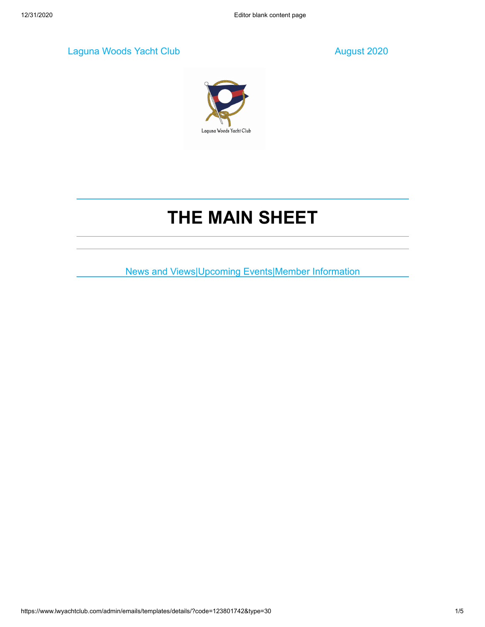Laguna Woods Yacht Club August 2020



# **THE MAIN SHEET**

News and Views|Upcoming Events|Member Information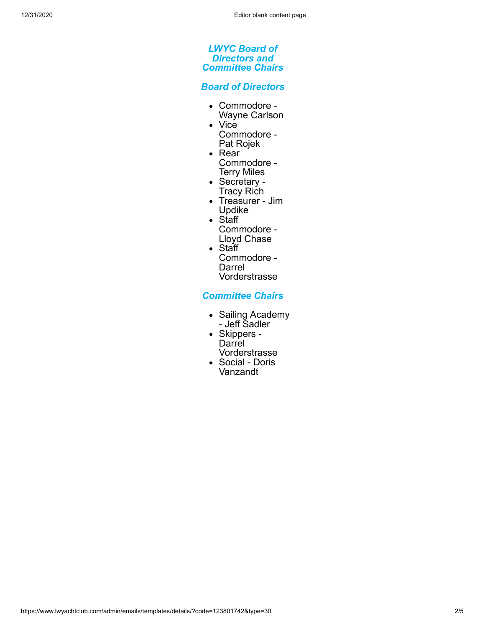#### *LWYC Board of Directors and Committee Chairs*

*Board of Directors*

- Commodore Wayne Carlson
- Vice
- Commodore Pat Rojek • Rear
- Commodore Terry Miles
- Secretary -Tracy Rich
- Treasurer Jim Updike
- Staff
- Commodore Lloyd Chase
- Staff Commodore - Darrel Vorderstrasse

*Committee Chairs*

- Sailing Academy - Jeff Sadler
- Skippers **Darrel** Vorderstrasse
- Social Doris Vanzandt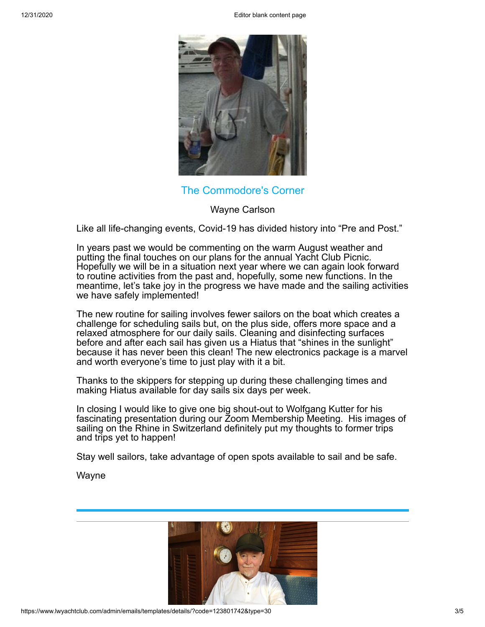12/31/2020 Editor blank content page



The Commodore's Corner

Wayne Carlson

Like all life-changing events, Covid-19 has divided history into "Pre and Post."

In years past we would be commenting on the warm August weather and putting the final touches on our plans for the annual Yacht Club Picnic. Hopefully we will be in a situation next year where we can again look forward to routine activities from the past and, hopefully, some new functions. In the meantime, let's take joy in the progress we have made and the sailing activities we have safely implemented!

The new routine for sailing involves fewer sailors on the boat which creates a challenge for scheduling sails but, on the plus side, offers more space and a relaxed atmosphere for our daily sails. Cleaning and disinfecting surfaces before and after each sail has given us a Hiatus that "shines in the sunlight" because it has never been this clean! The new electronics package is a marvel and worth everyone's time to just play with it a bit.

Thanks to the skippers for stepping up during these challenging times and making Hiatus available for day sails six days per week.

In closing I would like to give one big shout-out to Wolfgang Kutter for his fascinating presentation during our Zoom Membership Meeting. His images of sailing on the Rhine in Switzerland definitely put my thoughts to former trips and trips yet to happen!

Stay well sailors, take advantage of open spots available to sail and be safe.

Wayne

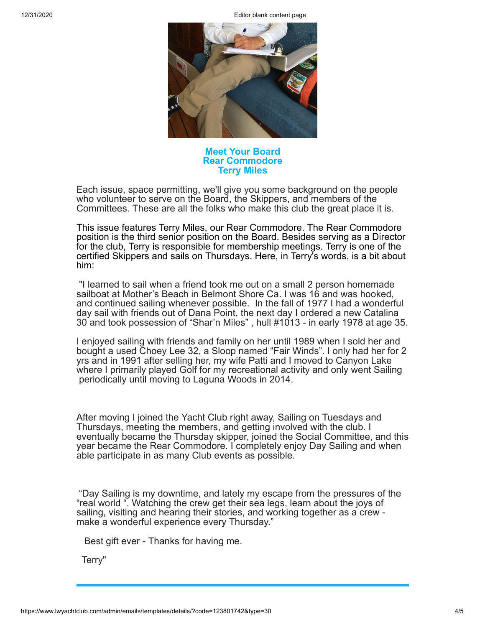12/31/2020 Editor blank content page



#### **Meet Your Board Rear Commodore Terry Miles**

Each issue, space permitting, we'll give you some background on the people who volunteer to serve on the Board, the Skippers, and members of the Committees. These are all the folks who make this club the great place it is.

This issue features Terry Miles, our Rear Commodore. The Rear Commodore position is the third senior position on the Board. Besides serving as a Director for the club, Terry is responsible for membership meetings. Terry is one of the certified Skippers and sails on Thursdays. Here, in Terry's words, is a bit about him:

 "I learned to sail when a friend took me out on a small 2 person homemade sailboat at Mother's Beach in Belmont Shore Ca. I was 16 and was hooked, and continued sailing whenever possible. In the fall of 1977 I had a wonderful day sail with friends out of Dana Point, the next day I ordered a new Catalina 30 and took possession of "Shar'n Miles" , hull #1013 - in early 1978 at age 35.

I enjoyed sailing with friends and family on her until 1989 when I sold her and bought a used Choey Lee 32, a Sloop named "Fair Winds". I only had her for 2 yrs and in 1991 after selling her, my wife Patti and I moved to Canyon Lake where I primarily played Golf for my recreational activity and only went Sailing periodically until moving to Laguna Woods in 2014.

After moving I joined the Yacht Club right away, Sailing on Tuesdays and Thursdays, meeting the members, and getting involved with the club. I eventually became the Thursday skipper, joined the Social Committee, and this year became the Rear Commodore. I completely enjoy Day Sailing and when able participate in as many Club events as possible.

 "Day Sailing is my downtime, and lately my escape from the pressures of the "real world ". Watching the crew get their sea legs, learn about the joys of sailing, visiting and hearing their stories, and working together as a crew make a wonderful experience every Thursday."

Best gift ever - Thanks for having me.

Terry"